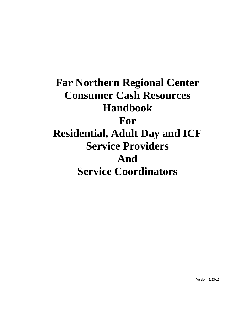# **Far Northern Regional Center Consumer Cash Resources Handbook For Residential, Adult Day and ICF Service Providers And Service Coordinators**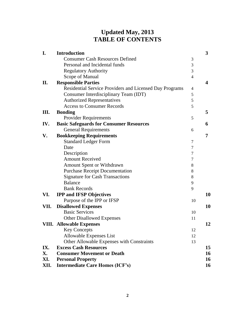## **Updated May, 2013 TABLE OF CONTENTS**

| I.   | <b>Introduction</b>                                     |                | 3              |
|------|---------------------------------------------------------|----------------|----------------|
|      | <b>Consumer Cash Resources Defined</b>                  | 3              |                |
|      | Personal and Incidental funds                           | 3              |                |
|      | <b>Regulatory Authority</b>                             | 3              |                |
|      | Scope of Manual                                         | $\overline{4}$ |                |
| II.  | <b>Responsible Parties</b>                              |                | 4              |
|      | Residential Service Providers and Licensed Day Programs | 4              |                |
|      | Consumer Interdisciplinary Team (IDT)                   | 5              |                |
|      | <b>Authorized Representatives</b>                       | 5              |                |
|      | <b>Access to Consumer Records</b>                       | 5              |                |
| Ш.   | <b>Bonding</b>                                          |                | 5              |
|      | <b>Provider Requirements</b>                            | 5              |                |
| IV.  | <b>Basic Safeguards for Consumer Resources</b>          |                | 6              |
|      | <b>General Requirements</b>                             | 6              |                |
| V.   | <b>Bookkeeping Requirements</b>                         |                | $\overline{7}$ |
|      | <b>Standard Ledger Form</b>                             | $\tau$         |                |
|      | Date                                                    | 7              |                |
|      | Description                                             | 7              |                |
|      | <b>Amount Received</b>                                  | 7              |                |
|      | <b>Amount Spent or Withdrawn</b>                        | 8              |                |
|      | <b>Purchase Receipt Documentation</b>                   | 8              |                |
|      | <b>Signature for Cash Transactions</b>                  | 8              |                |
|      | <b>Balance</b>                                          | 9              |                |
|      | <b>Bank Records</b>                                     | 9              |                |
| VI.  | <b>IPP and IFSP Objectives</b>                          |                | 10             |
|      | Purpose of the IPP or IFSP                              | 10             |                |
| VII. | <b>Disallowed Expenses</b>                              |                | 10             |
|      | <b>Basic Services</b>                                   | 10             |                |
|      | <b>Other Disallowed Expenses</b>                        | 11             |                |
|      | <b>VIII. Allowable Expenses</b>                         |                | 12             |
|      | <b>Key Concepts</b>                                     | 12             |                |
|      | Allowable Expenses List                                 | 12             |                |
|      | Other Allowable Expenses with Constraints               | 13             |                |
| IX.  | <b>Excess Cash Resources</b>                            |                | 15             |
| X.   | <b>Consumer Movement or Death</b>                       |                | 16             |
| XI.  | <b>Personal Property</b>                                |                | 16             |
| XII. | <b>Intermediate Care Homes (ICF's)</b>                  |                | 16             |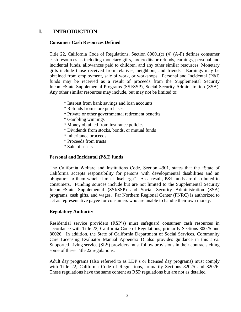## **I. INTRODUCTION**

## **Consumer Cash Resources Defined**

Title 22, California Code of Regulations, Section 80001(c) (4) (A-F) defines consumer cash resources as including monetary gifts, tax credits or refunds, earnings, personal and incidental funds, allowances paid to children, and any other similar resources. Monetary gifts include those received from relatives, neighbors, and friends. Earnings may be obtained from employment, sale of work, or workshops. Personal and Incidental (P&I) funds may be received as a result of proceeds from the Supplemental Security Income/State Supplemental Programs (SSI/SSP), Social Security Administration (SSA). Any other similar resources may include, but may not be limited to:

- \* Interest from bank savings and loan accounts
- \* Refunds from store purchases
- \* Private or other governmental retirement benefits
- \* Gambling winnings
- \* Money obtained from insurance policies
- \* Dividends from stocks, bonds, or mutual funds
- \* Inheritance proceeds
- \* Proceeds from trusts
- \* Sale of assets

## **Personal and Incidental (P&I) funds**

The California Welfare and Institutions Code, Section 4501, states that the "State of California accepts responsibility for persons with developmental disabilities and an obligation to them which it must discharge". As a result, P&I funds are distributed to consumers. Funding sources include but are not limited to the Supplemental Security Income/State Supplemental (SSI/SSP) and Social Security Administration (SSA) programs, cash gifts, and wages. Far Northern Regional Center (FNRC) is authorized to act as representative payee for consumers who are unable to handle their own money.

## **Regulatory Authority**

Residential service providers (RSP's) must safeguard consumer cash resources in accordance with Title 22, California Code of Regulations, primarily Sections 80025 and 80026. In addition, the State of California Department of Social Services, Community Care Licensing Evaluator Manual Appendix D also provides guidance in this area. Supported Living service (SLS) providers must follow provisions in their contracts citing some of these Title 22 regulations.

Adult day programs (also referred to as LDP's or licensed day programs) must comply with Title 22, California Code of Regulations, primarily Sections 82025 and 82026. These regulations have the same content as RSP regulations but are not as detailed.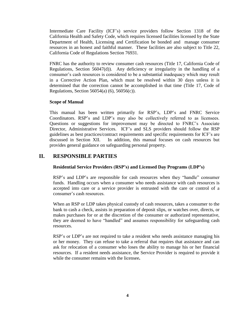Intermediate Care Facility (ICF's) service providers follow Section 1318 of the California Health and Safety Code, which requires licensed facilities licensed by the State Department of Health, Licensing and Certification be bonded and manage consumer resources in an honest and faithful manner. These facilities are also subject to Title 22, California Code of Regulations Section 76931.

FNRC has the authority to review consumer cash resources (Title 17, California Code of Regulations, Section 56047(d)). Any deficiency or irregularity in the handling of a consumer's cash resources is considered to be a substantial inadequacy which may result in a Corrective Action Plan, which must be resolved within 30 days unless it is determined that the correction cannot be accomplished in that time (Title 17, Code of Regulations, Section 56054(a) (6), 56056(c)).

## **Scope of Manual**

This manual has been written primarily for RSP's, LDP's and FNRC Service Coordinators. RSP's and LDP's may also be collectively referred to as licensees. Questions or suggestions for improvement may be directed to FNRC's Associate Director, Administrative Services. ICF's and SLS providers should follow the RSP guidelines as best practices/contract requirements and specific requirements for ICF's are discussed in Section XII. In addition, this manual focuses on cash resources but provides general guidance on safeguarding personal property.

## **II. RESPONSIBLE PARTIES**

## **Residential Service Providers (RSP's) and Licensed Day Programs (LDP's)**

RSP's and LDP's are responsible for cash resources when they "handle" consumer funds. Handling occurs when a consumer who needs assistance with cash resources is accepted into care or a service provider is entrusted with the care or control of a consumer's cash resources.

When an RSP or LDP takes physical custody of cash resources, takes a consumer to the bank to cash a check, assists in preparation of deposit slips, or watches over, directs, or makes purchases for or at the discretion of the consumer or authorized representative, they are deemed to have "handled" and assumes responsibility for safeguarding cash resources.

RSP's or LDP's are not required to take a resident who needs assistance managing his or her money. They can refuse to take a referral that requires that assistance and can ask for relocation of a consumer who loses the ability to manage his or her financial resources. If a resident needs assistance, the Service Provider is required to provide it while the consumer remains with the licensee**.**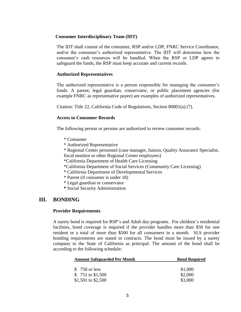## **Consumer Interdisciplinary Team (IDT)**

The IDT shall consist of the consumer, RSP and/or LDP, FNRC Service Coordinator, and/or the consumer's authorized representative. The IDT will determine how the consumer's cash resources will be handled. When the RSP or LDP agrees to safeguard the funds, the RSP must keep accurate and current records.

#### **Authorized Representatives**

The authorized representative is a person responsible for managing the consumer's funds. A parent, legal guardian, conservator, or public placement agencies (for example FNRC as representative payee) are examples of authorized representatives.

Citation: Title 22, California Code of Regulations, Section 80001(a) (7).

#### **Access to Consumer Records**

The following person or persons are authorized to review consumer records:

- \* Consumer
- \* Authorized Representative

\* Regional Center personnel (case manager, liaison, Quality Assurance Specialist, fiscal monitor or other Regional Center employees)

\*California Department of Health Care Licensing

- \*California Department of Social Services (Community Care Licensing)
- \* California Department of Developmental Services
- \* Parent (if consumer is under 18)
- \* Legal guardian or conservator
- **\*** Social Security Administration

## **III. BONDING**

#### **Provider Requirements**

A surety bond is required for RSP's and Adult day programs. For children's residential facilities, bond coverage is required if the provider handles more than \$50 for one resident or a total of more than \$500 for all consumers in a month. SLS provider bonding requirements are stated in contracts. The bond must be issued by a surety company to the State of California as principal. The amount of the bond shall be according to the following schedule:

| <b>Amount Safeguarded Per Month</b> | <b>Bond Required</b> |  |  |
|-------------------------------------|----------------------|--|--|
| \$ 750 or less                      | \$1,000              |  |  |
| \$751 to \$1,500                    | \$2,000              |  |  |
| \$1,501 to \$2,500                  | \$3,000              |  |  |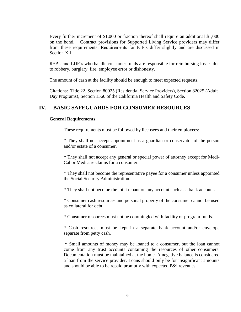Every further increment of \$1,000 or fraction thereof shall require an additional \$1,000 on the bond. Contract provisions for Supported Living Service providers may differ from these requirements. Requirements for ICF's differ slightly and are discussed in Section XII.

RSP's and LDP's who handle consumer funds are responsible for reimbursing losses due to robbery, burglary, fire, employee error or dishonesty.

The amount of cash at the facility should be enough to meet expected requests.

Citations: Title 22, Section 80025 (Residential Service Providers), Section 82025 (Adult Day Programs), Section 1560 of the California Health and Safety Code.

## **IV. BASIC SAFEGUARDS FOR CONSUMER RESOURCES**

#### **General Requirements**

These requirements must be followed by licensees and their employees:

\* They shall not accept appointment as a guardian or conservator of the person and/or estate of a consumer.

\* They shall not accept any general or special power of attorney except for Medi-Cal or Medicare claims for a consumer.

\* They shall not become the representative payee for a consumer unless appointed the Social Security Administration.

\* They shall not become the joint tenant on any account such as a bank account.

\* Consumer cash resources and personal property of the consumer cannot be used as collateral for debt.

\* Consumer resources must not be commingled with facility or program funds.

\* Cash resources must be kept in a separate bank account and/or envelope separate from petty cash.

\* Small amounts of money may be loaned to a consumer, but the loan cannot come from any trust accounts containing the resources of other consumers. Documentation must be maintained at the home. A negative balance is considered a loan from the service provider. Loans should only be for insignificant amounts and should be able to be repaid promptly with expected P&I revenues.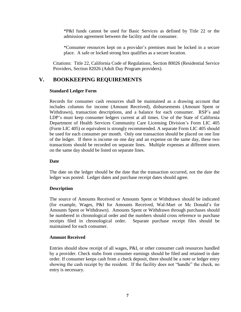\*P&I funds cannot be used for Basic Services as defined by Title 22 or the admission agreement between the facility and the consumer.

\*Consumer resources kept on a provider's premises must be locked in a secure place. A safe or locked strong box qualifies as a secure location.

Citations: Title 22, California Code of Regulations, Section 80026 (Residential Service Providers, Section 82026 (Adult Day Program providers).

## **V. BOOKKEEPING REQUIREMENTS**

## **Standard Ledger Form**

Records for consumer cash resources shall be maintained as a drawing account that includes columns for income (Amount Received), disbursements (Amount Spent or Withdrawn), transaction descriptions, and a balance for each consumer. RSP's and LDP's must keep consumer ledgers current at all times. Use of the State of California Department of Health Services Community Care Licensing Division's Form LIC 405 (Form LIC 405) or equivalent is strongly recommended. A separate Form LIC 405 should be used for each consumer per month. Only one transaction should be placed on one line of the ledger. If there is income on one day and an expense on the same day, these two transactions should be recorded on separate lines. Multiple expenses at different stores on the same day should be listed on separate lines.

## **Date**

The date on the ledger should be the date that the transaction occurred, not the date the ledger was posted. Ledger dates and purchase receipt dates should agree.

## **Description**

The source of Amounts Received or Amounts Spent or Withdrawn should be indicated (for example, Wages, P&I for Amounts Received, Wal-Mart or Mc Donald's for Amounts Spent or Withdrawn). Amounts Spent or Withdrawn through purchases should be numbered in chronological order and the numbers should cross reference to purchase receipts filed in chronological order. Separate purchase receipt files should be maintained for each consumer.

## **Amount Received**

Entries should show receipt of all wages, P&I, or other consumer cash resources handled by a provider. Check stubs from consumer earnings should be filed and retained in date order. If consumer keeps cash from a check deposit, there should be a note or ledger entry showing the cash receipt by the resident. If the facility does not "handle" the check, no entry is necessary.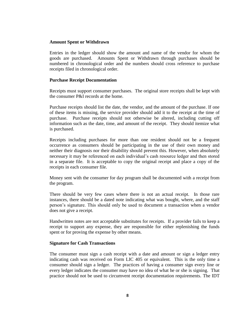## **Amount Spent or Withdrawn**

Entries in the ledger should show the amount and name of the vendor for whom the goods are purchased. Amounts Spent or Withdrawn through purchases should be numbered in chronological order and the numbers should cross reference to purchase receipts filed in chronological order.

#### **Purchase Receipt Documentation**

Receipts must support consumer purchases. The original store receipts shall be kept with the consumer P&I records at the home.

Purchase receipts should list the date, the vendor, and the amount of the purchase. If one of these items is missing, the service provider should add it to the receipt at the time of purchase. Purchase receipts should not otherwise be altered, including cutting off information such as the date, time, and amount of the receipt. They should itemize what is purchased.

Receipts including purchases for more than one resident should not be a frequent occurrence as consumers should be participating in the use of their own money and neither their diagnosis nor their disability should prevent this. However, when absolutely necessary it may be referenced on each individual's cash resource ledger and then stored in a separate file. It is acceptable to copy the original receipt and place a copy of the receipts in each consumer file.

Money sent with the consumer for day program shall be documented with a receipt from the program.

There should be very few cases where there is not an actual receipt. In those rare instances, there should be a dated note indicating what was bought, where, and the staff person's signature. This should only be used to document a transaction when a vendor does not give a receipt.

Handwritten notes are not acceptable substitutes for receipts. If a provider fails to keep a receipt to support any expense, they are responsible for either replenishing the funds spent or for proving the expense by other means.

#### **Signature for Cash Transactions**

The consumer must sign a cash receipt with a date and amount or sign a ledger entry indicating cash was received on Form LIC 405 or equivalent. This is the only time a consumer should sign a ledger. The practices of having a consumer sign every line or every ledger indicates the consumer may have no idea of what he or she is signing. That practice should not be used to circumvent receipt documentation requirements. The IDT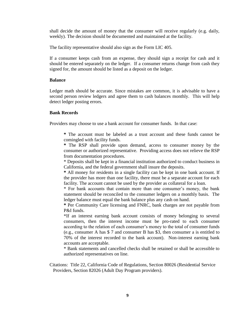shall decide the amount of money that the consumer will receive regularly (e.g. daily, weekly). The decision should be documented and maintained at the facility.

The facility representative should also sign as the Form LIC 405.

If a consumer keeps cash from an expense, they should sign a receipt for cash and it should be entered separately on the ledger. If a consumer returns change from cash they signed for, the amount should be listed as a deposit on the ledger.

## **Balance**

Ledger math should be accurate. Since mistakes are common, it is advisable to have a second person review ledgers and agree them to cash balances monthly. This will help detect ledger posting errors.

## **Bank Records**

Providers may choose to use a bank account for consumer funds. In that case:

**\*** The account must be labeled as a trust account and these funds cannot be comingled with facility funds.

**\*** The RSP shall provide upon demand, access to consumer money by the consumer or authorized representative. Providing access does not relieve the RSP from documentation procedures.

\* Deposits shall be kept in a financial institution authorized to conduct business in California, and the federal government shall insure the deposits.

**\*** All money for residents in a single facility can be kept in one bank account. If the provider has more than one facility, there must be a separate account for each facility. The account cannot be used by the provider as collateral for a loan.

\* For bank accounts that contain more than one consumer's money, the bank statement should be reconciled to the consumer ledgers on a monthly basis. The ledger balance must equal the bank balance plus any cash on hand.

**\*** Per Community Care licensing and FNRC, bank charges are not payable from P&I funds.

\*If an interest earning bank account consists of money belonging to several consumers, then the interest income must be pro-rated to each consumer according to the relation of each consumer's money to the total of consumer funds (e.g., consumer A has \$ 7 and consumer B has \$3, then consumer a is entitled to 70% of the interest recorded to the bank account). Non-interest earning bank accounts are acceptable.

\* Bank statements and cancelled checks shall be retained or shall be accessible to authorized representatives on line.

Citations: Title 22, California Code of Regulations, Section 80026 (Residential Service Providers, Section 82026 (Adult Day Program providers).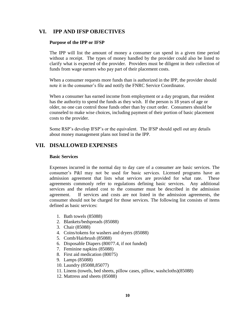## **VI. IPP AND IFSP OBJECTIVES**

## **Purpose of the IPP or IFSP**

The IPP will list the amount of money a consumer can spend in a given time period without a receipt. The types of money handled by the provider could also be listed to clarify what is expected of the provider. Providers must be diligent in their collection of funds from wage earners who pay part of their placement costs.

When a consumer requests more funds than is authorized in the IPP, the provider should note it in the consumer's file and notify the FNRC Service Coordinator.

When a consumer has earned income from employment or a day program, that resident has the authority to spend the funds as they wish. If the person is 18 years of age or older, no one can control those funds other than by court order. Consumers should be counseled to make wise choices, including payment of their portion of basic placement costs to the provider.

Some RSP's develop IFSP's or the equivalent. The IFSP should spell out any details about money management plans not listed in the IPP.

## **VII. DISALLOWED EXPENSES**

## **Basic Services**

Expenses incurred in the normal day to day care of a consumer are basic services. The consumer's P&I may not be used for basic services. Licensed programs have an admission agreement that lists what services are provided for what rate. These agreements commonly refer to regulations defining basic services. Any additional services and the related cost to the consumer must be described in the admission agreement. If services and costs are not listed in the admission agreements, the consumer should not be charged for those services. The following list consists of items defined as basic services:

- 1. Bath towels (85088)
- 2. Blankets/bedspreads (85088)
- 3. Chair (85088)
- 4. Coins/tokens for washers and dryers (85088)
- 5. Comb/Hairbrush (85088)
- 6. Disposable Diapers (80077.4, if not funded)
- 7. Feminine napkins (85088)
- 8. First aid medication (80075)
- 9. Lamps (85088)
- 10. Laundry (85088,85077)
- 11. Linens (towels, bed sheets, pillow cases, pillow, washcloths)(85088)
- 12. Mattress and sheets (85088)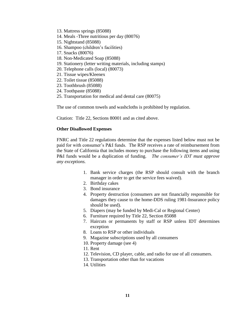- 13. Mattress springs (85088)
- 14. Meals -Three nutritious per day (80076)
- 15. Nightstand (85088)
- 16. Shampoo (children's facilities)
- 17. Snacks (80076)
- 18. Non-Medicated Soap (85088)
- 19. Stationery (letter writing materials, including stamps)
- 20. Telephone calls (local) (80073)
- 21. Tissue wipes/Kleenex
- 22. Toilet tissue (85088)
- 23. Toothbrush (85088)
- 24. Toothpaste (85088)
- 25. Transportation for medical and dental care (80075)

The use of common towels and washcloths is prohibited by regulation.

Citation: Title 22, Sections 80001 and as cited above.

#### **Other Disallowed Expenses**

FNRC and Title 22 regulations determine that the expenses listed below must not be paid for with consumer's P&I funds. The RSP receives a rate of reimbursement from the State of California that includes money to purchase the following items and using P&I funds would be a duplication of funding. *The consumer's IDT must approve any exceptions.*

- 1. Bank service charges (the RSP should consult with the branch manager in order to get the service fees waived).
- 2. Birthday cakes
- 3. Bond insurance
- 4. Property destruction (consumers are not financially responsible for damages they cause to the home-DDS ruling 1981-Insurance policy should be used).
- 5. Diapers (may be funded by Medi-Cal or Regional Center)
- 6. Furniture required by Title 22, Section 85088
- 7. Haircuts or permanents by staff or RSP unless IDT determines exception
- 8. Loans to RSP or other individuals
- 9. Magazine subscriptions used by all consumers
- 10. Property damage (see 4)
- 11. Rent
- 12. Television, CD player, cable, and radio for use of all consumers.
- 13. Transportation other than for vacations
- 14. Utilities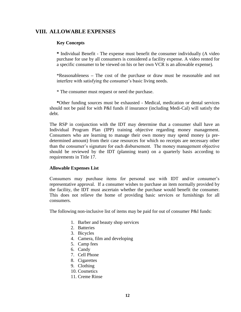## **VIII. ALLOWABLE EXPENSES**

## **Key Concepts**

**\*** Individual Benefit - The expense must benefit the consumer individually (A video purchase for use by all consumers is considered a facility expense. A video rented for a specific consumer to be viewed on his or her own VCR is an allowable expense).

\*Reasonableness **–** The cost of the purchase or draw must be reasonable and not interfere with satisfying the consumer's basic living needs.

\* The consumer must request or need the purchase.

**\***Other funding sources must be exhausted - Medical, medication or dental services should not be paid for with P&I funds if insurance (including Medi-Cal) will satisfy the debt.

The RSP in conjunction with the IDT may determine that a consumer shall have an Individual Program Plan (IPP) training objective regarding money management. Consumers who are learning to manage their own money may spend money (a predetermined amount) from their case resources for which no receipts are necessary other than the consumer's signature for each disbursement. The money management objective should be reviewed by the IDT (planning team) on a quarterly basis according to requirements in Title 17.

#### **Allowable Expenses List**

Consumers may purchase items for personal use with IDT and/or consumer's representative approval. If a consumer wishes to purchase an item normally provided by the facility, the IDT must ascertain whether the purchase would benefit the consumer. This does not relieve the home of providing basic services or furnishings for all consumers.

The following non-inclusive list of items may be paid for out of consumer P&I funds:

- 1. Barber and beauty shop services
- 2. Batteries
- 3. Bicycles
- 4. Camera, film and developing
- 5. Camp fees
- 6. Candy
- 7. Cell Phone
- 8. Cigarettes
- 9. Clothing
- 10. Cosmetics
- 11. Creme Rinse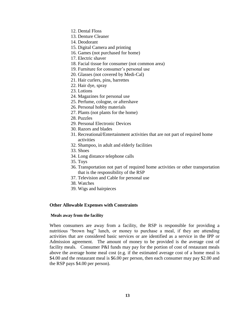- 12. Dental Floss
- 13. Denture Cleaner
- 14. Deodorant
- 15. Digital Camera and printing
- 16. Games (not purchased for home)
- 17. Electric shaver
- 18. Facial tissue for consumer (not common area)
- 19. Furniture for consumer's personal use
- 20. Glasses (not covered by Medi-Cal)
- 21. Hair curlers, pins, barrettes
- 22. Hair dye, spray
- 23. Lotions
- 24. Magazines for personal use
- 25. Perfume, cologne, or aftershave
- 26. Personal hobby materials
- 27. Plants (not plants for the home)
- 28. Puzzles
- 29. Personal Electronic Devices
- 30. Razors and blades
- 31. Recreational/Entertainment activities that are not part of required home activities
- 32. Shampoo, in adult and elderly facilities
- 33. Shoes
- 34. Long distance telephone calls
- 35. Toys
- 36. Transportation not part of required home activities or other transportation that is the responsibility of the RSP
- 37. Television and Cable for personal use
- 38. Watches
- 39. Wigs and hairpieces

## **Other Allowable Expenses with Constraints**

## **Meals away from the facility**

When consumers are away from a facility, the RSP is responsible for providing a nutritious "brown bag" lunch, or money to purchase a meal, if they are attending activities that are considered basic services or are identified as a service in the IPP or Admission agreement. The amount of money to be provided is the average cost of facility meals. Consumer P&I funds may pay for the portion of cost of restaurant meals above the average home meal cost (e.g. if the estimated average cost of a home meal is \$4.00 and the restaurant meal is \$6.00 per person, then each consumer may pay \$2.00 and the RSP pays \$4.00 per person).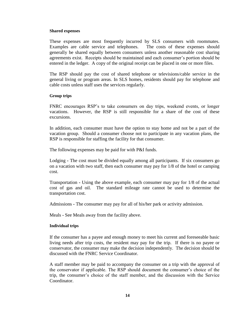#### **Shared expenses**

These expenses are most frequently incurred by SLS consumers with roommates. Examples are cable service and telephones. The costs of these expenses should generally be shared equally between consumers unless another reasonable cost sharing agreements exist. Receipts should be maintained and each consumer's portion should be entered in the ledger. A copy of the original receipt can be placed in one or more files.

The RSP should pay the cost of shared telephone or televisions/cable service in the general living or program areas. In SLS homes, residents should pay for telephone and cable costs unless staff uses the services regularly.

#### **Group trips**

FNRC encourages RSP's to take consumers on day trips, weekend events, or longer vacations. However, the RSP is still responsible for a share of the cost of these excursions.

In addition, each consumer must have the option to stay home and not be a part of the vacation group. Should a consumer choose not to participate in any vacation plans, the RSP is responsible for staffing the facility for that consumer.

The following expenses may be paid for with P&I funds.

Lodging **-** The cost must be divided equally among all participants. If six consumers go on a vacation with two staff, then each consumer may pay for 1/8 of the hotel or camping cost.

Transportation **-** Using the above example, each consumer may pay for 1/8 of the actual cost of gas and oil. The standard mileage rate cannot be used to determine the transportation cost.

Admissions **-** The consumer may pay for all of his/her park or activity admission.

Meals **-** See Meals away from the facility above.

#### **Individual trips**

If the consumer has a payee and enough money to meet his current and foreseeable basic living needs after trip costs, the resident may pay for the trip. If there is no payee or conservator, the consumer may make the decision independently. The decision should be discussed with the FNRC Service Coordinator.

A staff member may be paid to accompany the consumer on a trip with the approval of the conservator if applicable. The RSP should document the consumer's choice of the trip, the consumer's choice of the staff member, and the discussion with the Service Coordinator.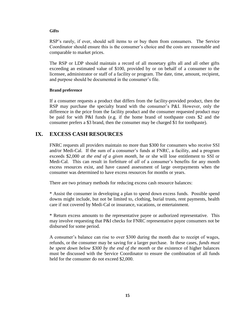#### **Gifts**

RSP's rarely, if ever, should sell items to or buy them from consumers. The Service Coordinator should ensure this is the consumer's choice and the costs are reasonable and comparable to market prices.

The RSP or LDP should maintain a record of all monetary gifts all and all other gifts exceeding an estimated value of \$100, provided by or on behalf of a consumer to the licensee, administrator or staff of a facility or program. The date, time, amount, recipient, and purpose should be documented in the consumer's file.

## **Brand preference**

If a consumer requests a product that differs from the facility-provided product, then the RSP may purchase the specialty brand with the consumer's P&I. However, only the difference in the price from the facility product and the consumer requested product may be paid for with P&I funds (e.g. if the home brand of toothpaste costs \$2 and the consumer prefers a \$3 brand, then the consumer may be charged \$1 for toothpaste).

## **IX. EXCESS CASH RESOURCES**

FNRC requests all providers maintain no more than \$300 for consumers who receive SSI and/or Medi-Cal. If the sum of a consumer's funds at FNRC, a facility, and a program exceeds \$2,000 *at the end of a given month*, he or she will lose entitlement to SSI or Medi-Cal. This can result in forfeiture of *all* of a consumer's benefits for any month excess resources exist, and have caused assessment of large overpayments when the consumer was determined to have excess resources for months or years.

There are two primary methods for reducing excess cash resource balances:

\* Assist the consumer in developing a plan to spend down excess funds. Possible spend downs might include, but not be limited to, clothing, burial trusts, rent payments, health care if not covered by Medi-Cal or insurance, vacations, or entertainment.

\* Return excess amounts to the representative payee or authorized representative. This may involve requesting that P&I checks for FNRC representative payee consumers not be disbursed for some period.

A consumer's balance can rise to over \$300 during the month due to receipt of wages, refunds, or the consumer may be saving for a larger purchase. In these cases*, funds must be spent down below \$300 by the end of the month* or the existence of higher balances must be discussed with the Service Coordinator to ensure the combination of all funds held for the consumer do not exceed \$2,000.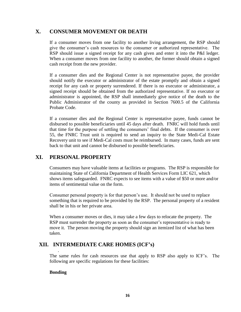## **X. CONSUMER MOVEMENT OR DEATH**

If a consumer moves from one facility to another living arrangement, the RSP should give the consumer's cash resources to the consumer or authorized representative. The RSP should issue a signed receipt for any cash given and enter it into the P&I ledger. When a consumer moves from one facility to another, the former should obtain a signed cash receipt from the new provider.

If a consumer dies and the Regional Center is not representative payee, the provider should notify the executor or administrator of the estate promptly and obtain a signed receipt for any cash or property surrendered. If there is no executor or administrator, a signed receipt should be obtained from the authorized representative. If no executor or administrator is appointed, the RSP shall immediately give notice of the death to the Public Administrator of the county as provided in Section 7600.5 of the California Probate Code.

If a consumer dies and the Regional Center is representative payee, funds cannot be disbursed to possible beneficiaries until 45 days after death. FNRC will hold funds until that time for the purpose of settling the consumers' final debts. If the consumer is over 55, the FNRC Trust unit is required to send an inquiry to the State Medi-Cal Estate Recovery unit to see if Medi-Cal costs must be reimbursed. In many cases, funds are sent back to that unit and cannot be disbursed to possible beneficiaries.

## **XI. PERSONAL PROPERTY**

Consumers may have valuable items at facilities or programs. The RSP is responsible for maintaining State of California Department of Health Services Form LIC 621, which shows items safeguarded. FNRC expects to see items with a value of \$50 or more and/or items of sentimental value on the form.

Consumer personal property is for that person's use. It should not be used to replace something that is required to be provided by the RSP. The personal property of a resident shall be in his or her private area.

When a consumer moves or dies, it may take a few days to relocate the property. The RSP must surrender the property as soon as the consumer's representative is ready to move it. The person moving the property should sign an itemized list of what has been taken.

## **XII. INTERMEDIATE CARE HOMES (ICF's)**

The same rules for cash resources use that apply to RSP also apply to ICF's. The following are specific regulations for these facilities:

## **Bonding**

.